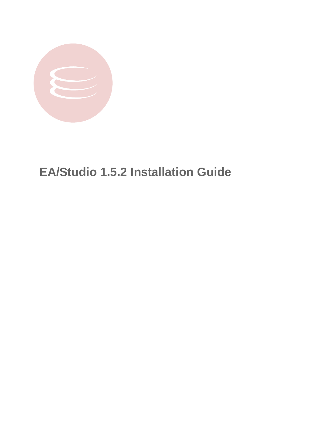

# **EA/Studio 1.5.2 Installation Guide**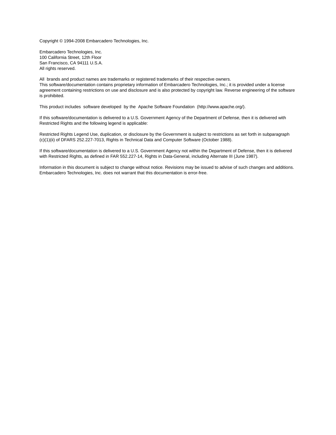Copyright © 1994-2008 Embarcadero Technologies, Inc.

Embarcadero Technologies, Inc. 100 California Street, 12th Floor San Francisco, CA 94111 U.S.A. All rights reserved.

All brands and product names are trademarks or registered trademarks of their respective owners. This software/documentation contains proprietary information of Embarcadero Technologies, Inc.; it is provided under a license agreement containing restrictions on use and disclosure and is also protected by copyright law. Reverse engineering of the software is prohibited.

This product includes software developed by the Apache Software Foundation (http://www.apache.org/).

If this software/documentation is delivered to a U.S. Government Agency of the Department of Defense, then it is delivered with Restricted Rights and the following legend is applicable:

Restricted Rights Legend Use, duplication, or disclosure by the Government is subject to restrictions as set forth in subparagraph (c)(1)(ii) of DFARS 252.227-7013, Rights in Technical Data and Computer Software (October 1988).

If this software/documentation is delivered to a U.S. Government Agency not within the Department of Defense, then it is delivered with Restricted Rights, as defined in FAR 552.227-14, Rights in Data-General, including Alternate III (June 1987).

Information in this document is subject to change without notice. Revisions may be issued to advise of such changes and additions. Embarcadero Technologies, Inc. does not warrant that this documentation is error-free.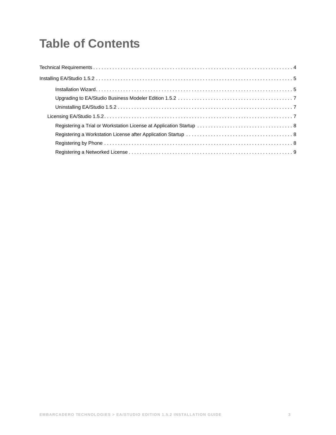# **Table of Contents**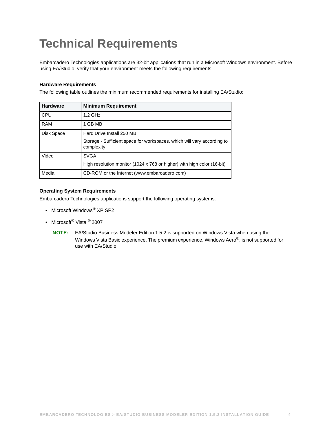# <span id="page-3-0"></span>**Technical Requirements**

Embarcadero Technologies applications are 32-bit applications that run in a Microsoft Windows environment. Before using EA/Studio, verify that your environment meets the following requirements:

#### **Hardware Requirements**

The following table outlines the minimum recommended requirements for installing EA/Studio:

| <b>Hardware</b> | <b>Minimum Requirement</b>                                                            |
|-----------------|---------------------------------------------------------------------------------------|
| CPU             | $1.2$ GHz                                                                             |
| <b>RAM</b>      | 1 GB MB                                                                               |
| Disk Space      | Hard Drive Install 250 MB                                                             |
|                 | Storage - Sufficient space for workspaces, which will vary according to<br>complexity |
| Video           | <b>SVGA</b>                                                                           |
|                 | High resolution monitor (1024 x 768 or higher) with high color (16-bit)               |
| Media           | CD-ROM or the Internet (www.embarcadero.com)                                          |

#### **Operating System Requirements**

Embarcadero Technologies applications support the following operating systems:

- Microsoft Windows<sup>®</sup> XP SP2
- Microsoft<sup>®</sup> Vista <sup>®</sup> 2007
	- **NOTE:** EA/Studio Business Modeler Edition 1.5.2 is supported on Windows Vista when using the Windows Vista Basic experience. The premium experience, Windows Aero®, is not supported for use with EA/Studio.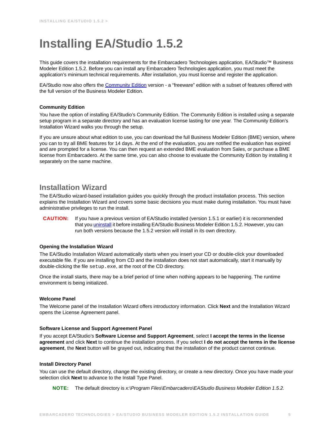# <span id="page-4-0"></span>**Installing EA/Studio 1.5.2**

This guide covers the installation requirements for the Embarcadero Technologies application, EA/Studio™ Business Modeler Edition 1.5.2. Before you can install any Embarcadero Technologies application, you must meet the application's minimum technical requirements. After installation, you must license and register the application.

EA/Studio now also offers the [Community Edition](#page-4-2) version - a "freeware" edition with a subset of features offered with the full version of the Business Modeler Edition.

#### <span id="page-4-2"></span>**Community Edition**

You have the option of installing EA/Studio's Community Edition. The Community Edition is installed using a separate setup program in a separate directory and has an evaluation license lasting for one year. The Community Edition's Installation Wizard walks you through the setup.

If you are unsure about what edition to use, you can download the full Business Modeler Edition (BME) version, where you can to try all BME features for 14 days. At the end of the evaluation, you are notified the evaluation has expired and are prompted for a license. You can then request an extended BME evaluation from Sales, or purchase a BME license from Embarcadero. At the same time, you can also choose to evaluate the Community Edition by installing it separately on the same machine.

### <span id="page-4-1"></span>**Installation Wizard**

The EA/Studio wizard-based installation guides you quickly through the product installation process. This section explains the Installation Wizard and covers some basic decisions you must make during installation. You must have administrative privileges to run the install.

**CAUTION:** If you have a previous version of EA/Studio installed (version 1.5.1 or earlier) it is recommended that you [uninstall](#page-6-1) it before installing EA/Studio Business Modeler Edition 1.5.2. However, you can run both versions because the 1.5.2 version will install in its own directory.

#### **Opening the Installation Wizard**

The EA/Studio Installation Wizard automatically starts when you insert your CD or double-click your downloaded executable file. If you are installing from CD and the installation does not start automatically, start it manually by double-clicking the file setup.exe, at the root of the CD directory.

Once the install starts, there may be a brief period of time when nothing appears to be happening. The runtime environment is being initialized.

#### **Welcome Panel**

The Welcome panel of the Installation Wizard offers introductory information. Click **Next** and the Installation Wizard opens the License Agreement panel.

#### **Software License and Support Agreement Panel**

If you accept EA/Studio's **Software License and Support Agreement**, select **I accept the terms in the license agreement** and click **Next** to continue the installation process. If you select **I do not accept the terms in the license agreement**, the **Next** button will be grayed out, indicating that the installation of the product cannot continue.

#### **Install Directory Panel**

You can use the default directory, change the existing directory, or create a new directory. Once you have made your selection click **Next** to advance to the Install Type Panel.

**NOTE:** The default directory is *x:\Program Files\Embarcadero\EAStudio Business Modeler Edition 1.5.2.*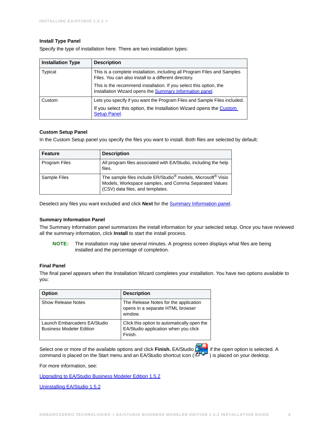#### **Install Type Panel**

Specify the type of installation here. There are two installation types:

| <b>Installation Type</b> | <b>Description</b>                                                                                                                     |
|--------------------------|----------------------------------------------------------------------------------------------------------------------------------------|
| Typical                  | This is a complete installation, including all Program Files and Samples<br>Files. You can also install to a different directory.      |
|                          | This is the recommend installation. If you select this option, the<br>Installation Wizard opens the <b>Summary Information panel</b> . |
| Custom                   | Lets you specify if you want the Program Files and Sample Files included.                                                              |
|                          | If you select this option, the Installation Wizard opens the Custom<br>Setup Panel.                                                    |

#### <span id="page-5-1"></span>**Custom Setup Panel**

In the Custom Setup panel you specify the files you want to install. Both files are selected by default:

| Feature              | <b>Description</b>                                                                                                                                                                |
|----------------------|-----------------------------------------------------------------------------------------------------------------------------------------------------------------------------------|
| <b>Program Files</b> | All program files associated with EA/Studio, including the help<br>files.                                                                                                         |
| Sample Files         | The sample files include ER/Studio <sup>®</sup> models, Microsoft <sup>®</sup> Visio<br>Models, Workspace samples, and Comma Separated Values<br>(CSV) data files, and templates. |

Deselect any files you want excluded and click **Next** for the [Summary Information panel.](#page-5-0)

#### <span id="page-5-0"></span>**Summary Information Panel**

The Summary Information panel summarizes the install information for your selected setup. Once you have reviewed all the summary information, click **Install** to start the install process.

**NOTE:** The installation may take several minutes. A progress screen displays what files are being installed and the percentage of completion.

#### **Final Panel**

The final panel appears when the Installation Wizard completes your installation. You have two options available to you:

| <b>Option</b>                                                   | <b>Description</b>                                                                             |
|-----------------------------------------------------------------|------------------------------------------------------------------------------------------------|
| Show Release Notes                                              | The Release Notes for the application<br>opens in a separate HTML browser<br>window.           |
| Launch Embarcadero EA/Studio<br><b>Business Modeler Edition</b> | Click this option to automatically open the<br>EA/Studio application when you click<br>Finish. |

Select one or more of the available options and click **Finish.** EA/Studio **of the open option is selected.** A command is placed on the Start menu and an EA/Studio shortcut icon (  $\overrightarrow{CP}$  ) is placed on your desktop.

For more information, see:

[Upgrading to EA/Studio Business Modeler Edition 1.5.2](#page-6-0)

[Uninstalling EA/Studio 1.5.2](#page-6-1)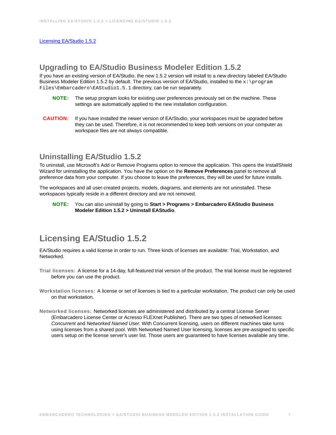### <span id="page-6-0"></span>**Upgrading to EA/Studio Business Modeler Edition 1.5.2**

If you have an existing version of EA/Studio, the new 1.5.2 version will install to a new directory labeled EA/Studio Business Modeler Edition 1.5.2 by default. The previous version of EA/Studio, installed to the x: \program Files\Embarcadero\EAStudio1.5.1 directory, can be run separately.

- **NOTE:** The setup program looks for existing user preferences previously set on the machine. These settings are automatically applied to the new installation configuration.
- **CAUTION:** If you have installed the newer version of EA/Studio, your workspaces must be upgraded before they can be used. Therefore, it is not recommended to keep both versions on your computer as workspace files are not always compatible.

## <span id="page-6-1"></span>**Uninstalling EA/Studio 1.5.2**

To uninstall, use Microsoft's Add or Remove Programs option to remove the application. This opens the InstallShield Wizard for uninstalling the application. You have the option on the **Remove Preferences** panel to remove all preference data from your computer. If you choose to leave the preferences, they will be used for future installs.

The workspaces and all user-created projects, models, diagrams, and elements are not uninstalled. These workspaces typically reside in a different directory and are not removed.

#### **NOTE:** You can also uninstall by going to **Start > Programs > Embarcadero EAStudio Business Modeler Edition 1.5.2 > Uninstall EAStudio**.

# <span id="page-6-2"></span>**Licensing EA/Studio 1.5.2**

EA/Studio requires a valid license in order to run. Three kinds of licenses are available: Trial, Workstation, and Networked.

- **Trial licenses:** A license for a 14-day, full-featured trial version of the product. The trial license must be registered before you can use the product.
- **Workstation licenses:** A license or set of licenses is tied to a particular workstation. The product can only be used on that workstation.
- **Networked licenses:** Networked licenses are administered and distributed by a central License Server (Embarcadero License Center or Acresso FLEXnet Publisher). There are two types of networked licenses: *Concurrent* and *Networked Named User*. With Concurrent licensing, users on different machines take turns using licenses from a shared pool. With Networked Named User licensing, licenses are pre-assigned to specific users setup on the license server's user list. Those users are guaranteed to have licenses available any time.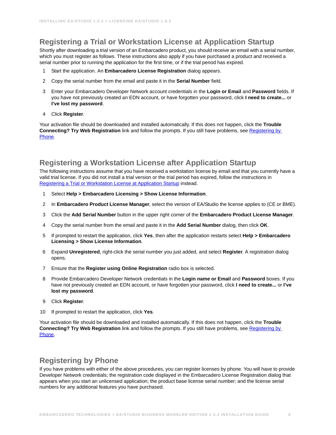# <span id="page-7-0"></span>**Registering a Trial or Workstation License at Application Startup**

Shortly after downloading a trial version of an Embarcadero product, you should receive an email with a serial number, which you must register as follows. These instructions also apply if you have purchased a product and received a serial number prior to running the application for the first time, or if the trial period has expired.

- 1 Start the application. An **Embarcadero License Registration** dialog appears.
- 2 Copy the serial number from the email and paste it in the **Serial Number** field.
- 3 Enter your Embarcadero Developer Network account credentials in the **Login or Email** and **Password** fields. If you have not previously created an EDN account, or have forgotten your password, click **I need to create...** or **I've lost my password**.
- 4 Click **Register**.

Your activation file should be downloaded and installed automatically. If this does not happen, click the **Trouble Connecting? Try Web Registration** link and follow the prompts. If you still have problems, see [Registering by](#page-7-2)  [Phone.](#page-7-2)

## <span id="page-7-1"></span>**Registering a Workstation License after Application Startup**

The following instructions assume that you have received a workstation license by email and that you currently have a valid trial license. If you did not install a trial version or the trial period has expired, follow the instructions in [Registering a Trial or Workstation License at Application Startup](#page-7-0) instead.

- 1 Select **Help > Embarcadero Licensing > Show License Information**.
- 2 In **Embarcadero Product License Manager**, select the version of EA/Studio the license applies to (CE or BME).
- 3 Click the **Add Serial Number** button in the upper right corner of the **Embarcadero Product License Manager**.
- 4 Copy the serial number from the email and paste it in the **Add Serial Number** dialog, then click **OK**.
- 5 If prompted to restart the application, click **Yes**, then after the application restarts select **Help > Embarcadero Licensing > Show License Information**.
- 6 Expand **Unregistered**, right-click the serial number you just added, and select **Register**. A registration dialog opens.
- 7 Ensure that the **Register using Online Registration** radio box is selected.
- 8 Provide Embarcadero Developer Network credentials in the **Login name or Email** and **Password** boxes. If you have not previously created an EDN account, or have forgotten your password, click **I need to create...** or **I've lost my password**.
- 9 Click **Register**.
- 10 If prompted to restart the application, click **Yes**.

Your activation file should be downloaded and installed automatically. If this does not happen, click the **Trouble Connecting? Try Web Registration** link and follow the prompts. If you still have problems, see Registering by [Phone.](#page-7-2)

### <span id="page-7-2"></span>**Registering by Phone**

If you have problems with either of the above procedures, you can register licenses by phone. You will have to provide Developer Network credentials; the registration code displayed in the Embarcadero License Registration dialog that appears when you start an unlicensed application; the product base license serial number; and the license serial numbers for any additional features you have purchased.